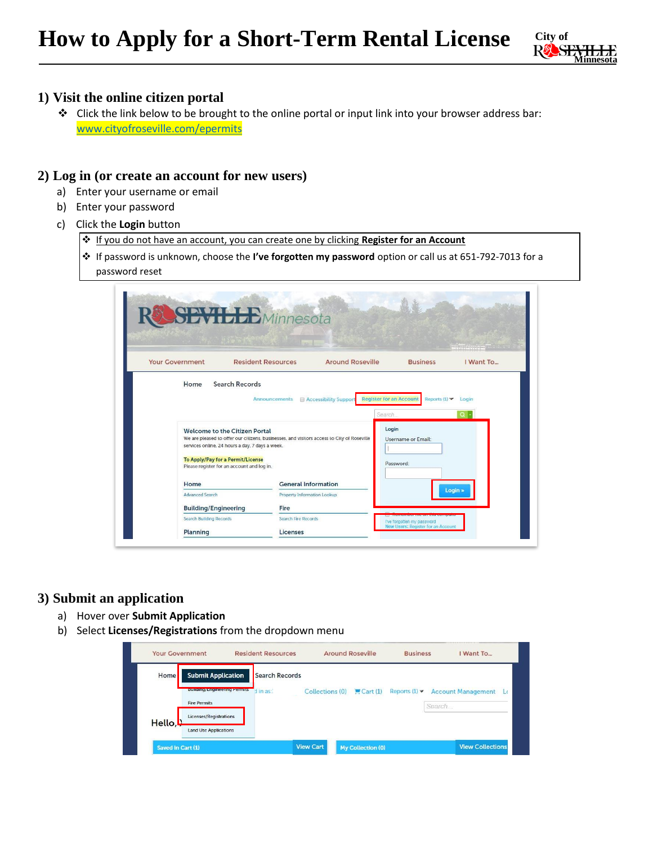

### **1) Visit the online citizen portal**

❖ Click the link below to be brought to the online portal or input link into your browser address bar: [www.cityofroseville.com/epermits](http://www.cityofroseville.com/epermits)

#### **2) Log in (or create an account for new users)**

- a) Enter your username or email
- b) Enter your password
- c) Click the **Login** button
	- ❖ If you do not have an account, you can create one by clicking **Register for an Account**
	- ❖ If password is unknown, choose the **I've forgotten my password** option or call us at 651-792-7013 for a password reset

| <b>Your Government</b>         | <b>Resident Resources</b>                                                                                                                     | <b>Around Roseville</b>                                 | <b>Business</b>                                                         | I Want To  |
|--------------------------------|-----------------------------------------------------------------------------------------------------------------------------------------------|---------------------------------------------------------|-------------------------------------------------------------------------|------------|
| Home                           | Search Records                                                                                                                                |                                                         |                                                                         |            |
|                                | Announcements                                                                                                                                 | <b>Register for an Account</b><br>Accessibility Support | Reports $(1)$ $\blacktriangleright$ Login                               |            |
|                                |                                                                                                                                               | Search                                                  |                                                                         | $\alpha$ . |
|                                | <b>Welcome to the Citizen Portal</b>                                                                                                          |                                                         |                                                                         |            |
|                                |                                                                                                                                               |                                                         | Login                                                                   |            |
|                                | We are pleased to offer our citizens, businesses, and visitors access to City of Roseville<br>services online, 24 hours a day, 7 days a week. |                                                         | Username or Email:                                                      |            |
|                                | <b>To Apply/Pay for a Permit/License</b>                                                                                                      |                                                         |                                                                         |            |
|                                | Please register for an account and log in.                                                                                                    |                                                         | Password:                                                               |            |
| Home                           |                                                                                                                                               | <b>General Information</b>                              |                                                                         |            |
| <b>Advanced Search</b>         |                                                                                                                                               | Property Information Lookup                             | Login »                                                                 |            |
| <b>Building/Engineering</b>    | Fire                                                                                                                                          |                                                         |                                                                         |            |
| <b>Search Building Records</b> | <b>Search Fire Records</b>                                                                                                                    |                                                         | I've forgotten my password<br><b>New Users: Register for an Account</b> |            |

#### **3) Submit an application**

- a) Hover over **Submit Application**
- b) Select **Licenses/Registrations** from the dropdown menu

| Home    | <b>Submit Application</b>           | <b>Search Records</b> |                 |         |                                     |        |                                        |
|---------|-------------------------------------|-----------------------|-----------------|---------|-------------------------------------|--------|----------------------------------------|
|         | <b>Building/Engineering Permits</b> | d in as:              | Collections (0) | Cart(1) | Reports $(1)$ $\blacktriangleright$ |        | <b>Account Management</b><br><b>LG</b> |
|         | <b>Fire Permits</b>                 |                       |                 |         |                                     | Search |                                        |
| Hello,L | Licenses/Registrations              |                       |                 |         |                                     |        |                                        |
|         | <b>Land Use Applications</b>        |                       |                 |         |                                     |        |                                        |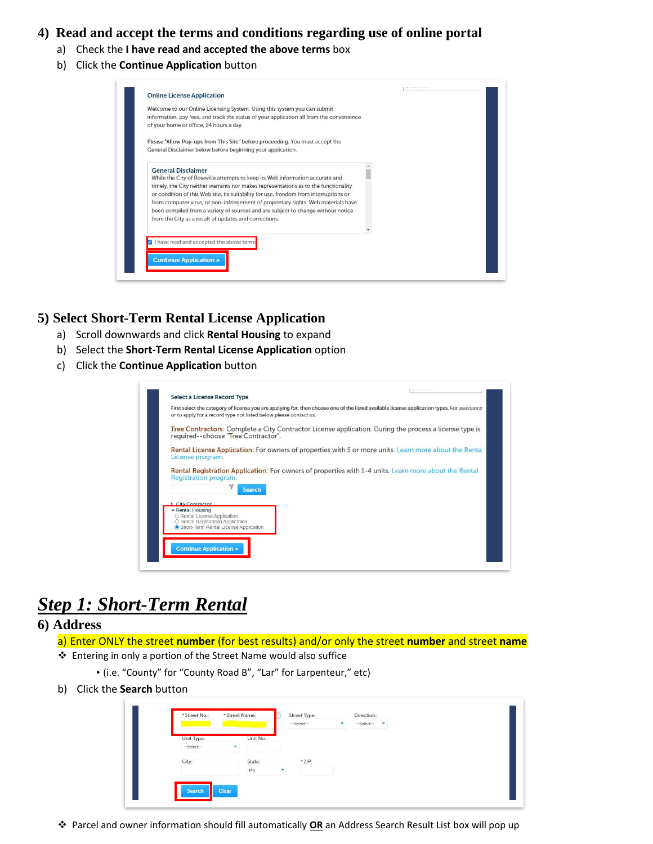## **4) Read and accept the terms and conditions regarding use of online portal**

- a) Check the **I have read and accepted the above terms** box
- b) Click the **Continue Application** button

| Welcome to our Online Licensing System. Using this system you can submit<br>information, pay fees, and track the status of your application all from the convenience<br>of your home or office, 24 hours a day.                                                                                                                                                                                                                                                                                                               |  |
|-------------------------------------------------------------------------------------------------------------------------------------------------------------------------------------------------------------------------------------------------------------------------------------------------------------------------------------------------------------------------------------------------------------------------------------------------------------------------------------------------------------------------------|--|
| Please "Allow Pop-ups from This Site" before proceeding. You must accept the<br>General Disclaimer below before beginning your application.                                                                                                                                                                                                                                                                                                                                                                                   |  |
| <b>General Disclaimer</b><br>While the City of Roseville attempts to keep its Web information accurate and<br>timely, the City neither warrants nor makes representations as to the functionality<br>or condition of this Web site, its suitability for use, freedom from interruptions or<br>from computer virus, or non-infringement of proprietary rights. Web materials have<br>been compiled from a variety of sources and are subject to change without notice<br>from the City as a result of updates and corrections. |  |
| have read and accepted the above terms                                                                                                                                                                                                                                                                                                                                                                                                                                                                                        |  |

#### **5) Select Short-Term Rental License Application**

- a) Scroll downwards and click **Rental Housing** to expand
- b) Select the **Short-Term Rental License Application** option
- c) Click the **Continue Application** button

| Tree Contractors: Complete a City Contractor License application. During the process a license type is<br>required--choose "Tree Contractor".<br><b>Rental License Application:</b> For owners of properties with 5 or more units. Learn more about the Renta<br>License program.<br><b>Rental Registration Application:</b> For owners of properties with 1-4 units. Learn more about the Rental<br>Registration program.<br><b>Search</b><br><b>City Contractor</b><br>▼ Rental Housing | First select the category of license you are applying for, then choose one of the listed available license application types. For assistance |
|-------------------------------------------------------------------------------------------------------------------------------------------------------------------------------------------------------------------------------------------------------------------------------------------------------------------------------------------------------------------------------------------------------------------------------------------------------------------------------------------|----------------------------------------------------------------------------------------------------------------------------------------------|
|                                                                                                                                                                                                                                                                                                                                                                                                                                                                                           |                                                                                                                                              |
|                                                                                                                                                                                                                                                                                                                                                                                                                                                                                           |                                                                                                                                              |
|                                                                                                                                                                                                                                                                                                                                                                                                                                                                                           |                                                                                                                                              |
|                                                                                                                                                                                                                                                                                                                                                                                                                                                                                           |                                                                                                                                              |
|                                                                                                                                                                                                                                                                                                                                                                                                                                                                                           |                                                                                                                                              |
| O Rental License Application<br>O Rental Registration Application                                                                                                                                                                                                                                                                                                                                                                                                                         |                                                                                                                                              |
| Short-Term Rental License Application                                                                                                                                                                                                                                                                                                                                                                                                                                                     |                                                                                                                                              |

# *Step 1: Short-Term Rental*

#### **6) Address**

a) Enter ONLY the street **number** (for best results) and/or only the street **number** and street **name**

- ❖ Entering in only a portion of the Street Name would also suffice
	- (i.e. "County" for "County Road B", "Lar" for Larpenteur," etc)
- b) Click the **Search** button

|                          |   | Unit No.: |   |        |  |  |
|--------------------------|---|-----------|---|--------|--|--|
| Unit Type:<br>--Select-- | v |           |   |        |  |  |
|                          |   |           |   |        |  |  |
| City:                    |   | State:    |   | * ZIP: |  |  |
|                          |   | MN        | ٠ |        |  |  |

❖ Parcel and owner information should fill automatically **OR** an Address Search Result List box will pop up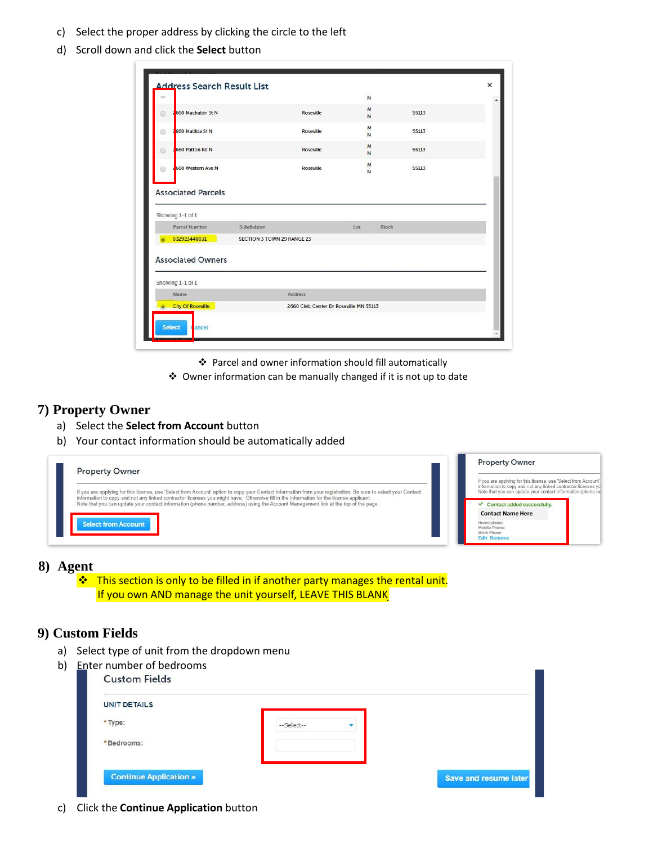- c) Select the proper address by clicking the circle to the left
- d) Scroll down and click the **Select** button

|                                               |                            |                  | $\mathsf{N}$        |       |  |
|-----------------------------------------------|----------------------------|------------------|---------------------|-------|--|
| 560 Mackubin St N<br>0                        |                            | Roseville        | M<br>N              | 55113 |  |
| 560 Matilda St N<br>⊜                         |                            | Roseville        | M<br>N              | 55113 |  |
| <b>560 Patton Rd N</b><br>Ō                   |                            | <b>Roseville</b> | M<br>N              | 55113 |  |
| 560 Western Ave N<br>⊙                        |                            | Roseville        | M<br>N              | 55113 |  |
| <b>Associated Parcels</b><br>Showing 1-1 of 1 |                            |                  |                     |       |  |
| <b>Parcel Number</b>                          | Subdivision                |                  | Lot<br><b>Block</b> |       |  |
| 032923440031                                  | SECTION 3 TOWN 29 RANGE 23 |                  |                     |       |  |
| <b>Associated Owners</b>                      |                            |                  |                     |       |  |
| Showing 1-1 of 1                              |                            |                  |                     |       |  |
| Name                                          |                            | Address          |                     |       |  |

❖ Parcel and owner information should fill automatically

❖ Owner information can be manually changed if it is not up to date

#### **7) Property Owner**

- a) Select the **Select from Account** button
- b) Your contact information should be automatically added

|                                                                                                                                                                                                                                                                                                                                    | <b>Property Owner</b>                                                                                                                                                                           |
|------------------------------------------------------------------------------------------------------------------------------------------------------------------------------------------------------------------------------------------------------------------------------------------------------------------------------------|-------------------------------------------------------------------------------------------------------------------------------------------------------------------------------------------------|
| <b>Property Owner</b><br>If you are applying for this license, use 'Select from Account' option to copy your Contact information from your registration. Be sure to select your Contact<br>information to copy and not any linked contractor licenses you might have. Otherwise fill in the information for the license applicant. | If you are applying for this license, use 'Select from Account'<br>information to copy and not any linked contractor licenses yo<br>Note that you can update your contact information (phone nu |
| Note that you can update your contact information (phone number, address) using the Account Management link at the top of the page.                                                                                                                                                                                                | Contact added successfully.                                                                                                                                                                     |
|                                                                                                                                                                                                                                                                                                                                    | <b>Contact Name Here</b>                                                                                                                                                                        |
| <b>Select from Account</b>                                                                                                                                                                                                                                                                                                         | Home phone:<br>Mobile Phone:<br>Work Phone:<br><b>Edit Remove</b>                                                                                                                               |

#### **8) Agent**

❖ ❖This section is only to be filled in if another party manages the rental unit. If you own AND manage the unit yourself, LEAVE THIS BLANK

### **9) Custom Fields**

a) Select type of unit from the dropdown menu

| <b>UNIT DETAILS</b> |            |  |
|---------------------|------------|--|
| * Type:             | --Select-- |  |
| *Bedrooms:          |            |  |

c) Click the **Continue Application** button